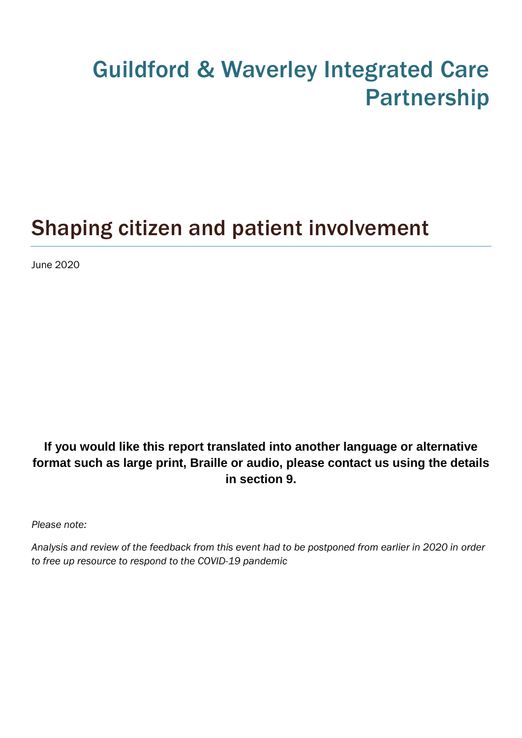# Guildford & Waverley Integrated Care Partnership

# Shaping citizen and patient involvement

June 2020

## **If you would like this report translated into another language or alternative format such as large print, Braille or audio, please contact us using the details in section 9.**

*Please note:*

*Analysis and review of the feedback from this event had to be postponed from earlier in 2020 in order to free up resource to respond to the COVID-19 pandemic*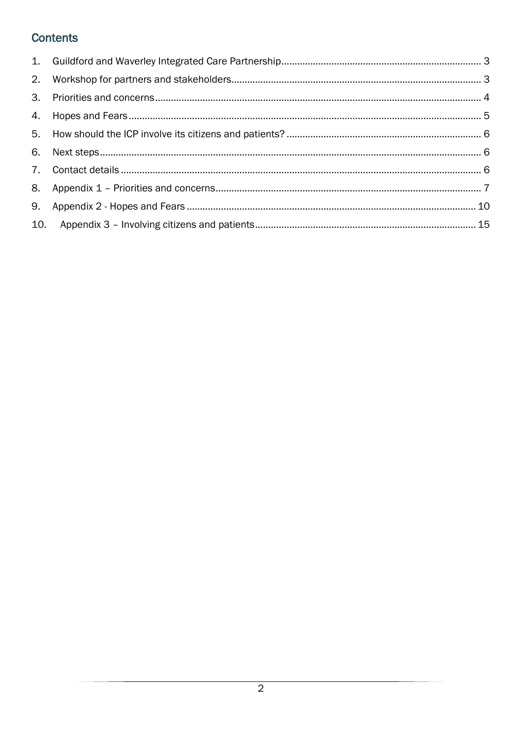## **Contents**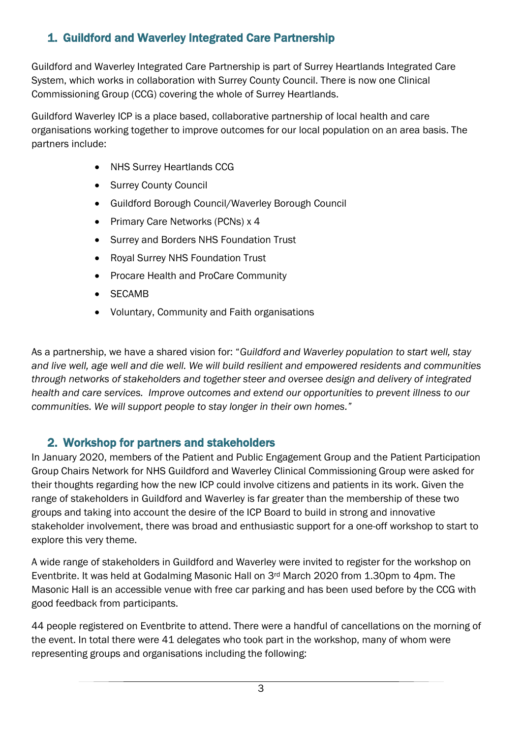## <span id="page-2-0"></span>1. Guildford and Waverley Integrated Care Partnership

Guildford and Waverley Integrated Care Partnership is part of Surrey Heartlands Integrated Care System, which works in collaboration with Surrey County Council. There is now one Clinical Commissioning Group (CCG) covering the whole of Surrey Heartlands.

Guildford Waverley ICP is a place based, collaborative partnership of local health and care organisations working together to improve outcomes for our local population on an area basis. The partners include:

- NHS Surrey Heartlands CCG
- Surrey County Council
- Guildford Borough Council/Waverley Borough Council
- Primary Care Networks (PCNs) x 4
- Surrey and Borders NHS Foundation Trust
- Royal Surrey NHS Foundation Trust
- Procare Health and ProCare Community
- SECAMB
- Voluntary, Community and Faith organisations

As a partnership, we have a shared vision for: "*Guildford and Waverley population to start well, stay and live well, age well and die well. We will build resilient and empowered residents and communities through networks of stakeholders and together steer and oversee design and delivery of integrated health and care services. Improve outcomes and extend our opportunities to prevent illness to our communities. We will support people to stay longer in their own homes."*

## <span id="page-2-1"></span>2. Workshop for partners and stakeholders

In January 2020, members of the Patient and Public Engagement Group and the Patient Participation Group Chairs Network for NHS Guildford and Waverley Clinical Commissioning Group were asked for their thoughts regarding how the new ICP could involve citizens and patients in its work. Given the range of stakeholders in Guildford and Waverley is far greater than the membership of these two groups and taking into account the desire of the ICP Board to build in strong and innovative stakeholder involvement, there was broad and enthusiastic support for a one-off workshop to start to explore this very theme.

A wide range of stakeholders in Guildford and Waverley were invited to register for the workshop on Eventbrite. It was held at Godalming Masonic Hall on 3rd March 2020 from 1.30pm to 4pm. The Masonic Hall is an accessible venue with free car parking and has been used before by the CCG with good feedback from participants.

44 people registered on Eventbrite to attend. There were a handful of cancellations on the morning of the event. In total there were 41 delegates who took part in the workshop, many of whom were representing groups and organisations including the following: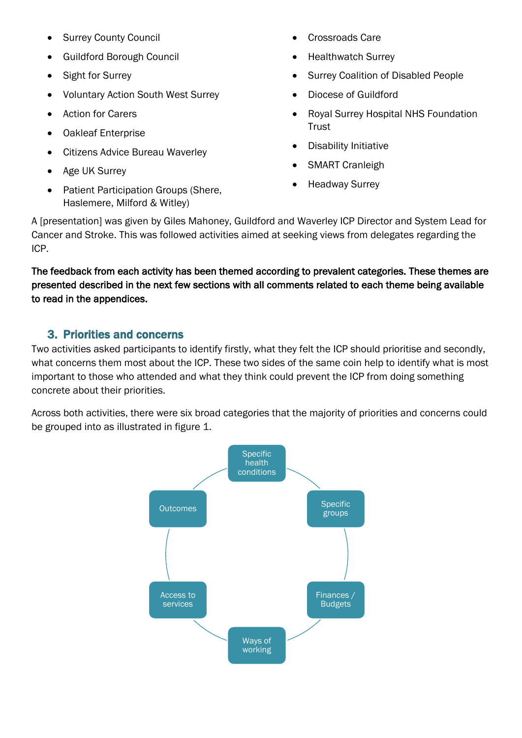- Surrey County Council
- Guildford Borough Council
- Sight for Surrey
- Voluntary Action South West Surrey
- Action for Carers
- Oakleaf Enterprise
- Citizens Advice Bureau Waverley
- Age UK Surrey
- Patient Participation Groups (Shere, Haslemere, Milford & Witley)
- Crossroads Care
- Healthwatch Surrey
- Surrey Coalition of Disabled People
- Diocese of Guildford
- Royal Surrey Hospital NHS Foundation **Trust**
- Disability Initiative
- SMART Cranleigh
- Headway Surrey

A [presentation] was given by Giles Mahoney, Guildford and Waverley ICP Director and System Lead for Cancer and Stroke. This was followed activities aimed at seeking views from delegates regarding the ICP.

The feedback from each activity has been themed according to prevalent categories. These themes are presented described in the next few sections with all comments related to each theme being available to read in the appendices.

### <span id="page-3-0"></span>3. Priorities and concerns

Two activities asked participants to identify firstly, what they felt the ICP should prioritise and secondly, what concerns them most about the ICP. These two sides of the same coin help to identify what is most important to those who attended and what they think could prevent the ICP from doing something concrete about their priorities.

Across both activities, there were six broad categories that the majority of priorities and concerns could be grouped into as illustrated in figure 1.

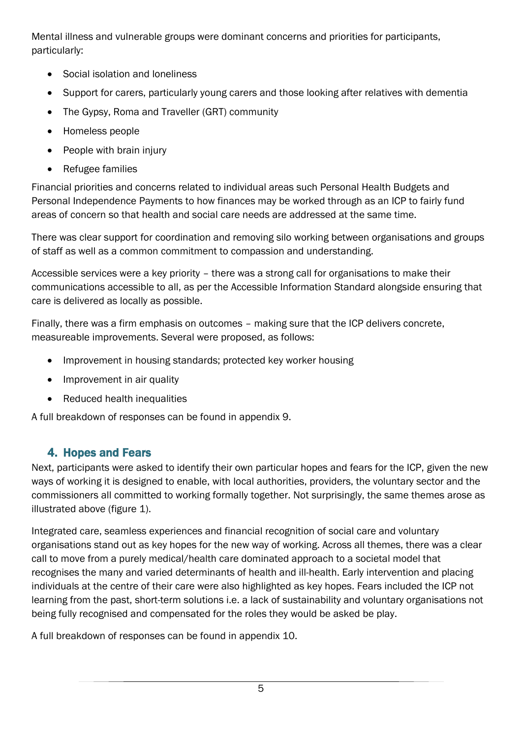Mental illness and vulnerable groups were dominant concerns and priorities for participants, particularly:

- Social isolation and loneliness
- Support for carers, particularly young carers and those looking after relatives with dementia
- The Gypsy, Roma and Traveller (GRT) community
- Homeless people
- People with brain injury
- Refugee families

Financial priorities and concerns related to individual areas such Personal Health Budgets and Personal Independence Payments to how finances may be worked through as an ICP to fairly fund areas of concern so that health and social care needs are addressed at the same time.

There was clear support for coordination and removing silo working between organisations and groups of staff as well as a common commitment to compassion and understanding.

Accessible services were a key priority – there was a strong call for organisations to make their communications accessible to all, as per the Accessible Information Standard alongside ensuring that care is delivered as locally as possible.

Finally, there was a firm emphasis on outcomes – making sure that the ICP delivers concrete, measureable improvements. Several were proposed, as follows:

- Improvement in housing standards; protected key worker housing
- Improvement in air quality
- Reduced health inequalities

A full breakdown of responses can be found in appendix 9.

# <span id="page-4-0"></span>4. Hopes and Fears

Next, participants were asked to identify their own particular hopes and fears for the ICP, given the new ways of working it is designed to enable, with local authorities, providers, the voluntary sector and the commissioners all committed to working formally together. Not surprisingly, the same themes arose as illustrated above (figure 1).

Integrated care, seamless experiences and financial recognition of social care and voluntary organisations stand out as key hopes for the new way of working. Across all themes, there was a clear call to move from a purely medical/health care dominated approach to a societal model that recognises the many and varied determinants of health and ill-health. Early intervention and placing individuals at the centre of their care were also highlighted as key hopes. Fears included the ICP not learning from the past, short-term solutions i.e. a lack of sustainability and voluntary organisations not being fully recognised and compensated for the roles they would be asked be play.

A full breakdown of responses can be found in appendix 10.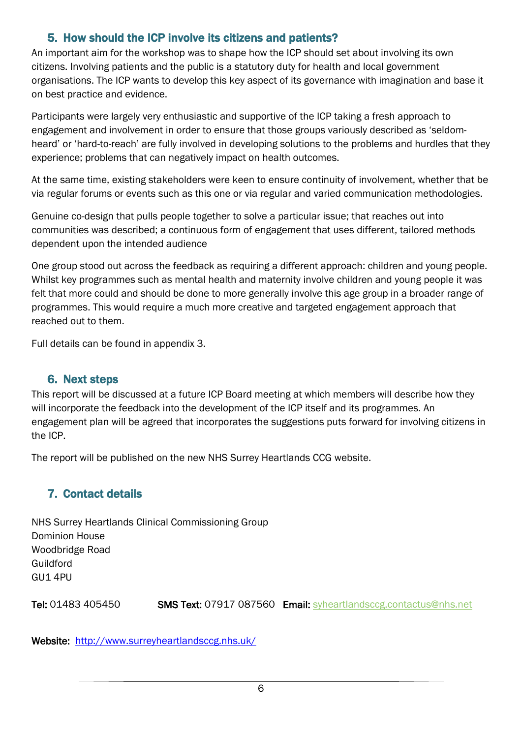## 5. How should the ICP involve its citizens and patients?

<span id="page-5-0"></span>An important aim for the workshop was to shape how the ICP should set about involving its own citizens. Involving patients and the public is a statutory duty for health and local government organisations. The ICP wants to develop this key aspect of its governance with imagination and base it on best practice and evidence.

Participants were largely very enthusiastic and supportive of the ICP taking a fresh approach to engagement and involvement in order to ensure that those groups variously described as 'seldomheard' or 'hard-to-reach' are fully involved in developing solutions to the problems and hurdles that they experience; problems that can negatively impact on health outcomes.

At the same time, existing stakeholders were keen to ensure continuity of involvement, whether that be via regular forums or events such as this one or via regular and varied communication methodologies.

Genuine co-design that pulls people together to solve a particular issue; that reaches out into communities was described; a continuous form of engagement that uses different, tailored methods dependent upon the intended audience

One group stood out across the feedback as requiring a different approach: children and young people. Whilst key programmes such as mental health and maternity involve children and young people it was felt that more could and should be done to more generally involve this age group in a broader range of programmes. This would require a much more creative and targeted engagement approach that reached out to them.

Full details can be found in appendix 3.

#### <span id="page-5-1"></span>6. Next steps

This report will be discussed at a future ICP Board meeting at which members will describe how they will incorporate the feedback into the development of the ICP itself and its programmes. An engagement plan will be agreed that incorporates the suggestions puts forward for involving citizens in the ICP.

The report will be published on the new NHS Surrey Heartlands CCG website.

## <span id="page-5-2"></span>7. Contact details

NHS Surrey Heartlands Clinical Commissioning Group Dominion House Woodbridge Road Guildford GU1 4PU

Tel: 01483 405450 **SMS Text: 07917 087560 Email: [syheartlandsccg.contactus@nhs.net](mailto:syheartlandsccg.contactus@nhs.net)** 

Website: <http://www.surreyheartlandsccg.nhs.uk/>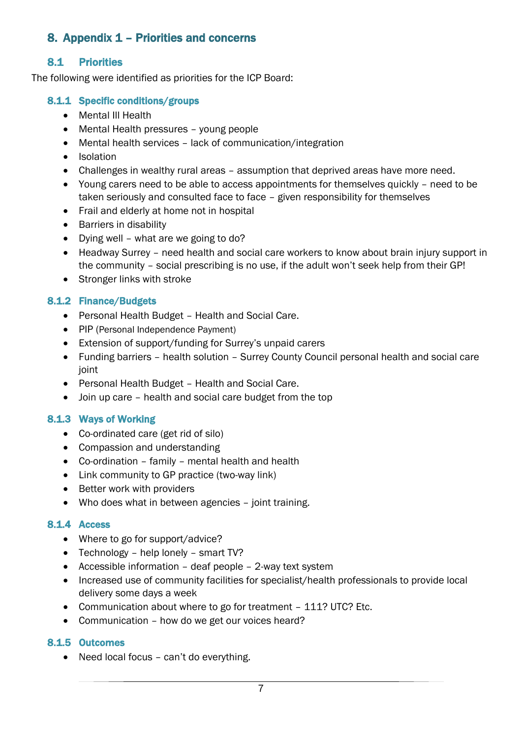## <span id="page-6-0"></span>8. Appendix 1 – Priorities and concerns

#### 8.1 Priorities

The following were identified as priorities for the ICP Board:

#### 8.1.1 Specific conditions/groups

- Mental III Health
- Mental Health pressures young people
- Mental health services lack of communication/integration
- Isolation
- Challenges in wealthy rural areas assumption that deprived areas have more need.
- Young carers need to be able to access appointments for themselves quickly need to be taken seriously and consulted face to face – given responsibility for themselves
- Frail and elderly at home not in hospital
- Barriers in disability
- Dying well what are we going to do?
- Headway Surrey need health and social care workers to know about brain injury support in the community – social prescribing is no use, if the adult won't seek help from their GP!
- Stronger links with stroke

#### 8.1.2 Finance/Budgets

- Personal Health Budget Health and Social Care.
- PIP (Personal Independence Payment)
- Extension of support/funding for Surrey's unpaid carers
- Funding barriers health solution Surrey County Council personal health and social care ioint
- Personal Health Budget Health and Social Care.
- Join up care health and social care budget from the top

#### 8.1.3 Ways of Working

- Co-ordinated care (get rid of silo)
- Compassion and understanding
- Co-ordination family mental health and health
- Link community to GP practice (two-way link)
- Better work with providers
- Who does what in between agencies joint training.

#### 8.1.4 Access

- Where to go for support/advice?
- Technology help lonely smart TV?
- Accessible information deaf people 2-way text system
- Increased use of community facilities for specialist/health professionals to provide local delivery some days a week
- Communication about where to go for treatment 111? UTC? Etc.
- Communication how do we get our voices heard?

#### 8.1.5 Outcomes

• Need local focus – can't do everything.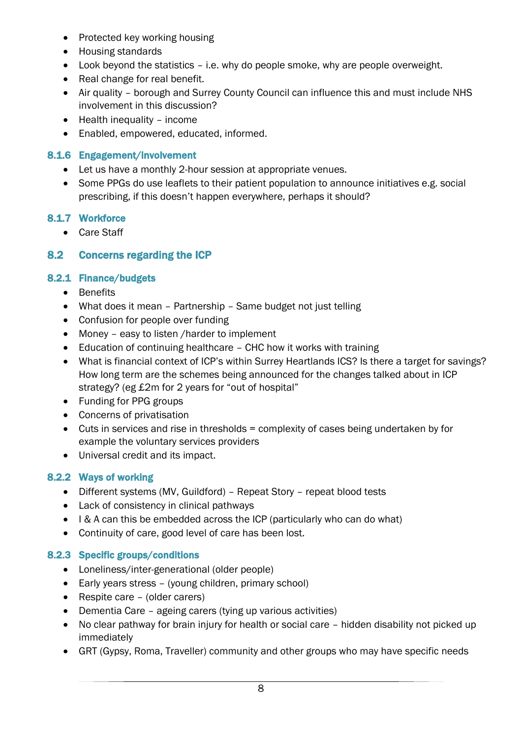- Protected key working housing
- Housing standards
- Look beyond the statistics i.e. why do people smoke, why are people overweight.
- Real change for real benefit.
- Air quality borough and Surrey County Council can influence this and must include NHS involvement in this discussion?
- $\bullet$  Health inequality income
- Enabled, empowered, educated, informed.

#### 8.1.6 Engagement/involvement

- Let us have a monthly 2-hour session at appropriate venues.
- Some PPGs do use leaflets to their patient population to announce initiatives e.g. social prescribing, if this doesn't happen everywhere, perhaps it should?

#### 8.1.7 Workforce

• Care Staff

#### 8.2 Concerns regarding the ICP

#### 8.2.1 Finance/budgets

- **•** Benefits
- What does it mean Partnership Same budget not just telling
- Confusion for people over funding
- Money easy to listen / harder to implement
- Education of continuing healthcare CHC how it works with training
- What is financial context of ICP's within Surrey Heartlands ICS? Is there a target for savings? How long term are the schemes being announced for the changes talked about in ICP strategy? (eg £2m for 2 years for "out of hospital"
- Funding for PPG groups
- Concerns of privatisation
- Cuts in services and rise in thresholds = complexity of cases being undertaken by for example the voluntary services providers
- Universal credit and its impact.

#### 8.2.2 Ways of working

- Different systems (MV, Guildford) Repeat Story repeat blood tests
- Lack of consistency in clinical pathways
- I & A can this be embedded across the ICP (particularly who can do what)
- Continuity of care, good level of care has been lost.

#### 8.2.3 Specific groups/conditions

- Loneliness/inter-generational (older people)
- Early years stress (young children, primary school)
- Respite care (older carers)
- Dementia Care ageing carers (tying up various activities)
- No clear pathway for brain injury for health or social care hidden disability not picked up immediately
- GRT (Gypsy, Roma, Traveller) community and other groups who may have specific needs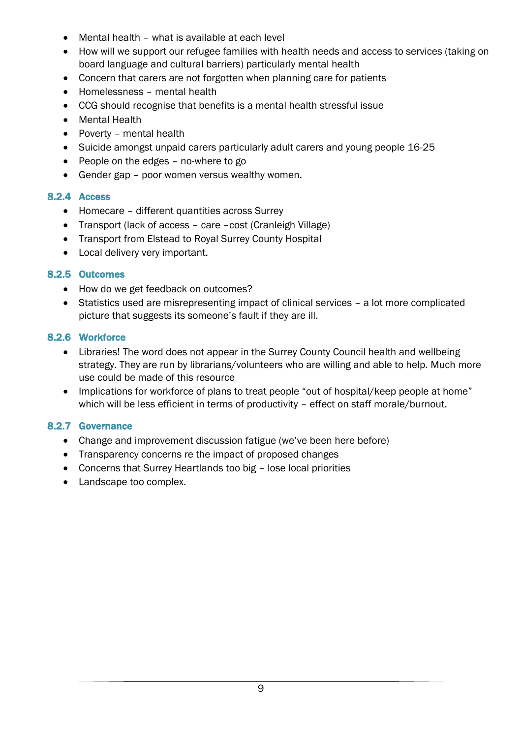- Mental health what is available at each level
- How will we support our refugee families with health needs and access to services (taking on board language and cultural barriers) particularly mental health
- Concern that carers are not forgotten when planning care for patients
- Homelessness mental health
- CCG should recognise that benefits is a mental health stressful issue
- Mental Health
- Poverty mental health
- Suicide amongst unpaid carers particularly adult carers and young people 16-25
- People on the edges no-where to go
- Gender gap poor women versus wealthy women.

#### 8.2.4 Access

- Homecare different quantities across Surrey
- Transport (lack of access care –cost (Cranleigh Village)
- Transport from Elstead to Royal Surrey County Hospital
- Local delivery very important.

#### 8.2.5 Outcomes

- How do we get feedback on outcomes?
- Statistics used are misrepresenting impact of clinical services a lot more complicated picture that suggests its someone's fault if they are ill.

#### 8.2.6 Workforce

- Libraries! The word does not appear in the Surrey County Council health and wellbeing strategy. They are run by librarians/volunteers who are willing and able to help. Much more use could be made of this resource
- Implications for workforce of plans to treat people "out of hospital/keep people at home" which will be less efficient in terms of productivity - effect on staff morale/burnout.

#### 8.2.7 Governance

- Change and improvement discussion fatigue (we've been here before)
- Transparency concerns re the impact of proposed changes
- Concerns that Surrey Heartlands too big lose local priorities
- Landscape too complex.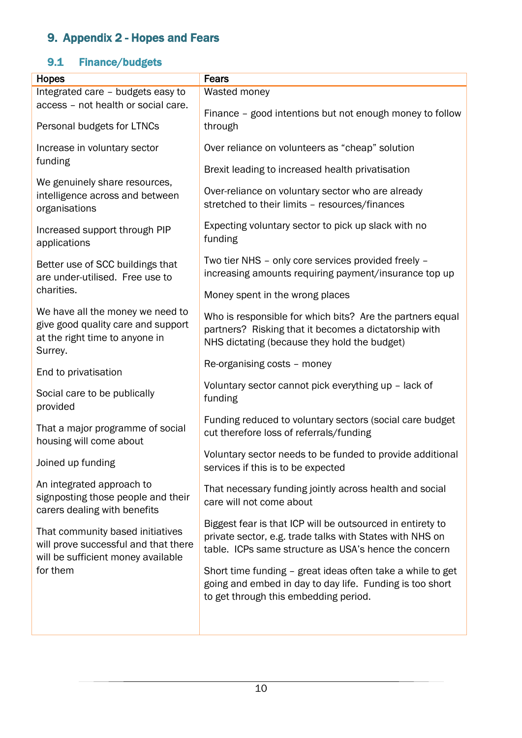# <span id="page-9-0"></span>9. Appendix 2 - Hopes and Fears

## 9.1 Finance/budgets

| <b>Hopes</b>                                                                                                        | <b>Fears</b>                                                                                                                                                                    |
|---------------------------------------------------------------------------------------------------------------------|---------------------------------------------------------------------------------------------------------------------------------------------------------------------------------|
| Integrated care - budgets easy to                                                                                   | Wasted money                                                                                                                                                                    |
| access - not health or social care.                                                                                 | Finance - good intentions but not enough money to follow                                                                                                                        |
| Personal budgets for LTNCs                                                                                          | through                                                                                                                                                                         |
| Increase in voluntary sector<br>funding                                                                             | Over reliance on volunteers as "cheap" solution                                                                                                                                 |
|                                                                                                                     | Brexit leading to increased health privatisation                                                                                                                                |
| We genuinely share resources,<br>intelligence across and between<br>organisations                                   | Over-reliance on voluntary sector who are already<br>stretched to their limits - resources/finances                                                                             |
| Increased support through PIP<br>applications                                                                       | Expecting voluntary sector to pick up slack with no<br>funding                                                                                                                  |
| Better use of SCC buildings that<br>are under-utilised. Free use to                                                 | Two tier NHS - only core services provided freely -<br>increasing amounts requiring payment/insurance top up                                                                    |
| charities.                                                                                                          | Money spent in the wrong places                                                                                                                                                 |
| We have all the money we need to<br>give good quality care and support<br>at the right time to anyone in<br>Surrey. | Who is responsible for which bits? Are the partners equal<br>partners? Risking that it becomes a dictatorship with<br>NHS dictating (because they hold the budget)              |
| End to privatisation                                                                                                | Re-organising costs - money                                                                                                                                                     |
| Social care to be publically<br>provided                                                                            | Voluntary sector cannot pick everything up - lack of<br>funding                                                                                                                 |
| That a major programme of social<br>housing will come about                                                         | Funding reduced to voluntary sectors (social care budget<br>cut therefore loss of referrals/funding                                                                             |
| Joined up funding                                                                                                   | Voluntary sector needs to be funded to provide additional<br>services if this is to be expected                                                                                 |
| An integrated approach to<br>signposting those people and their<br>carers dealing with benefits                     | That necessary funding jointly across health and social<br>care will not come about                                                                                             |
| That community based initiatives<br>will prove successful and that there<br>will be sufficient money available      | Biggest fear is that ICP will be outsourced in entirety to<br>private sector, e.g. trade talks with States with NHS on<br>table. ICPs same structure as USA's hence the concern |
| for them                                                                                                            | Short time funding - great ideas often take a while to get<br>going and embed in day to day life. Funding is too short<br>to get through this embedding period.                 |
|                                                                                                                     |                                                                                                                                                                                 |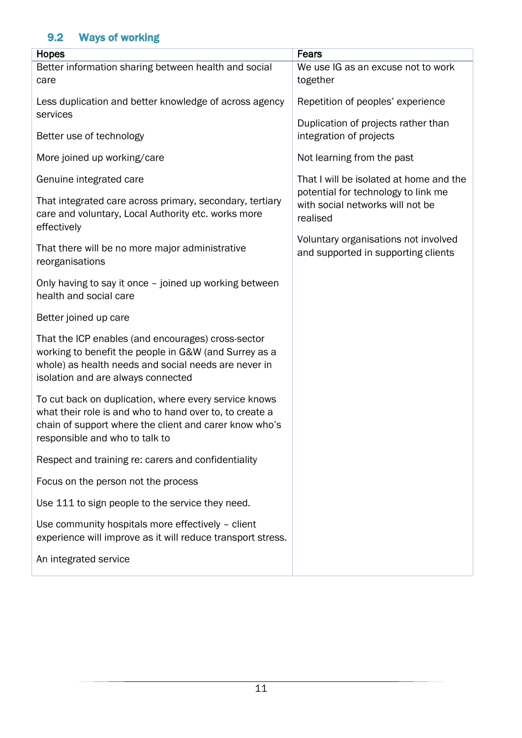## 9.2 Ways of working

| Hopes                                                                                                                                                                                                        | Fears                                                                               |
|--------------------------------------------------------------------------------------------------------------------------------------------------------------------------------------------------------------|-------------------------------------------------------------------------------------|
| Better information sharing between health and social<br>care                                                                                                                                                 | We use IG as an excuse not to work<br>together                                      |
| Less duplication and better knowledge of across agency<br>services                                                                                                                                           | Repetition of peoples' experience                                                   |
| Better use of technology                                                                                                                                                                                     | Duplication of projects rather than<br>integration of projects                      |
| More joined up working/care                                                                                                                                                                                  | Not learning from the past                                                          |
| Genuine integrated care                                                                                                                                                                                      | That I will be isolated at home and the                                             |
| That integrated care across primary, secondary, tertiary<br>care and voluntary, Local Authority etc. works more<br>effectively                                                                               | potential for technology to link me<br>with social networks will not be<br>realised |
| That there will be no more major administrative<br>reorganisations                                                                                                                                           | Voluntary organisations not involved<br>and supported in supporting clients         |
| Only having to say it once - joined up working between<br>health and social care                                                                                                                             |                                                                                     |
| Better joined up care                                                                                                                                                                                        |                                                                                     |
| That the ICP enables (and encourages) cross-sector<br>working to benefit the people in G&W (and Surrey as a<br>whole) as health needs and social needs are never in<br>isolation and are always connected    |                                                                                     |
| To cut back on duplication, where every service knows<br>what their role is and who to hand over to, to create a<br>chain of support where the client and carer know who's<br>responsible and who to talk to |                                                                                     |
| Respect and training re: carers and confidentiality                                                                                                                                                          |                                                                                     |
| Focus on the person not the process                                                                                                                                                                          |                                                                                     |
| Use 111 to sign people to the service they need.                                                                                                                                                             |                                                                                     |
| Use community hospitals more effectively - client<br>experience will improve as it will reduce transport stress.                                                                                             |                                                                                     |
| An integrated service                                                                                                                                                                                        |                                                                                     |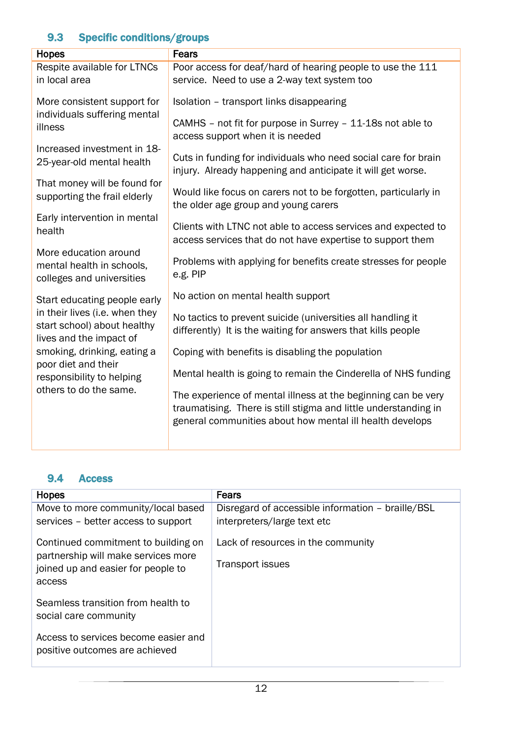## 9.3 Specific conditions/groups

| <b>Hopes</b>                                                                             | Fears                                                                                                                                                                                        |
|------------------------------------------------------------------------------------------|----------------------------------------------------------------------------------------------------------------------------------------------------------------------------------------------|
| Respite available for LTNCs<br>in local area                                             | Poor access for deaf/hard of hearing people to use the 111<br>service. Need to use a 2-way text system too                                                                                   |
| More consistent support for<br>individuals suffering mental<br>illness                   | Isolation - transport links disappearing<br>CAMHS - not fit for purpose in Surrey - 11-18s not able to                                                                                       |
| Increased investment in 18-<br>25-year-old mental health                                 | access support when it is needed<br>Cuts in funding for individuals who need social care for brain<br>injury. Already happening and anticipate it will get worse.                            |
| That money will be found for<br>supporting the frail elderly                             | Would like focus on carers not to be forgotten, particularly in<br>the older age group and young carers                                                                                      |
| Early intervention in mental<br>health                                                   | Clients with LTNC not able to access services and expected to<br>access services that do not have expertise to support them                                                                  |
| More education around<br>mental health in schools,<br>colleges and universities          | Problems with applying for benefits create stresses for people<br>e.g. PIP                                                                                                                   |
| Start educating people early                                                             | No action on mental health support                                                                                                                                                           |
| in their lives (i.e. when they<br>start school) about healthy<br>lives and the impact of | No tactics to prevent suicide (universities all handling it<br>differently) It is the waiting for answers that kills people                                                                  |
| smoking, drinking, eating a                                                              | Coping with benefits is disabling the population                                                                                                                                             |
| poor diet and their<br>responsibility to helping                                         | Mental health is going to remain the Cinderella of NHS funding                                                                                                                               |
| others to do the same.                                                                   | The experience of mental illness at the beginning can be very<br>traumatising. There is still stigma and little understanding in<br>general communities about how mental ill health develops |

#### 9.4 Access

| <b>Hopes</b>                                                               | <b>Fears</b>                                      |
|----------------------------------------------------------------------------|---------------------------------------------------|
| Move to more community/local based                                         | Disregard of accessible information - braille/BSL |
| services – better access to support                                        | interpreters/large text etc                       |
| Continued commitment to building on<br>partnership will make services more | Lack of resources in the community                |
| joined up and easier for people to                                         | <b>Transport issues</b>                           |
| access                                                                     |                                                   |
| Seamless transition from health to                                         |                                                   |
| social care community                                                      |                                                   |
| Access to services become easier and<br>positive outcomes are achieved     |                                                   |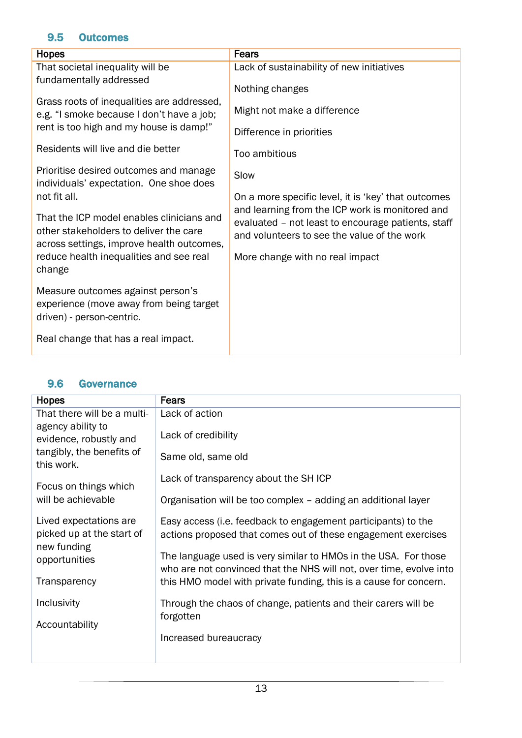### 9.5 Outcomes

| Hopes                                                                                                                            | <b>Fears</b>                                                                                                                                         |
|----------------------------------------------------------------------------------------------------------------------------------|------------------------------------------------------------------------------------------------------------------------------------------------------|
| That societal inequality will be                                                                                                 | Lack of sustainability of new initiatives                                                                                                            |
| fundamentally addressed                                                                                                          | Nothing changes                                                                                                                                      |
| Grass roots of inequalities are addressed,<br>e.g. "I smoke because I don't have a job;                                          | Might not make a difference                                                                                                                          |
| rent is too high and my house is damp!"                                                                                          | Difference in priorities                                                                                                                             |
| Residents will live and die better                                                                                               | Too ambitious                                                                                                                                        |
| Prioritise desired outcomes and manage<br>individuals' expectation. One shoe does                                                | Slow                                                                                                                                                 |
| not fit all.                                                                                                                     | On a more specific level, it is 'key' that outcomes                                                                                                  |
| That the ICP model enables clinicians and<br>other stakeholders to deliver the care<br>across settings, improve health outcomes, | and learning from the ICP work is monitored and<br>evaluated - not least to encourage patients, staff<br>and volunteers to see the value of the work |
| reduce health inequalities and see real<br>change                                                                                | More change with no real impact                                                                                                                      |
| Measure outcomes against person's<br>experience (move away from being target<br>driven) - person-centric.                        |                                                                                                                                                      |
| Real change that has a real impact.                                                                                              |                                                                                                                                                      |

#### 9.6 Governance

| <b>Hopes</b>                                                                           | <b>Fears</b>                                                                                                                           |
|----------------------------------------------------------------------------------------|----------------------------------------------------------------------------------------------------------------------------------------|
| That there will be a multi-                                                            | Lack of action                                                                                                                         |
| agency ability to<br>evidence, robustly and<br>tangibly, the benefits of<br>this work. | Lack of credibility<br>Same old, same old                                                                                              |
| Focus on things which                                                                  | Lack of transparency about the SH ICP                                                                                                  |
| will be achievable                                                                     | Organisation will be too complex – adding an additional layer                                                                          |
| Lived expectations are<br>picked up at the start of                                    | Easy access (i.e. feedback to engagement participants) to the<br>actions proposed that comes out of these engagement exercises         |
| new funding<br>opportunities                                                           | The language used is very similar to HMOs in the USA. For those<br>who are not convinced that the NHS will not, over time, evolve into |
| Transparency                                                                           | this HMO model with private funding, this is a cause for concern.                                                                      |
| Inclusivity                                                                            | Through the chaos of change, patients and their carers will be<br>forgotten                                                            |
| Accountability                                                                         |                                                                                                                                        |
|                                                                                        | Increased bureaucracy                                                                                                                  |
|                                                                                        |                                                                                                                                        |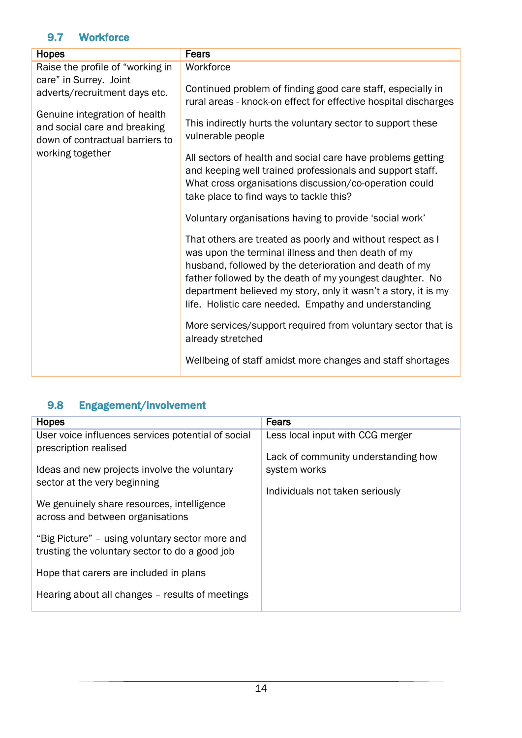## 9.7 Workforce

| <b>Hopes</b>                                                                                     | Fears                                                                                                                                                                                                                                                                                                                                                             |
|--------------------------------------------------------------------------------------------------|-------------------------------------------------------------------------------------------------------------------------------------------------------------------------------------------------------------------------------------------------------------------------------------------------------------------------------------------------------------------|
| Raise the profile of "working in                                                                 | Workforce                                                                                                                                                                                                                                                                                                                                                         |
| care" in Surrey. Joint<br>adverts/recruitment days etc.                                          | Continued problem of finding good care staff, especially in<br>rural areas - knock-on effect for effective hospital discharges                                                                                                                                                                                                                                    |
| Genuine integration of health<br>and social care and breaking<br>down of contractual barriers to | This indirectly hurts the voluntary sector to support these<br>vulnerable people                                                                                                                                                                                                                                                                                  |
| working together                                                                                 | All sectors of health and social care have problems getting<br>and keeping well trained professionals and support staff.<br>What cross organisations discussion/co-operation could<br>take place to find ways to tackle this?                                                                                                                                     |
|                                                                                                  | Voluntary organisations having to provide 'social work'                                                                                                                                                                                                                                                                                                           |
|                                                                                                  | That others are treated as poorly and without respect as I<br>was upon the terminal illness and then death of my<br>husband, followed by the deterioration and death of my<br>father followed by the death of my youngest daughter. No<br>department believed my story, only it wasn't a story, it is my<br>life. Holistic care needed. Empathy and understanding |
|                                                                                                  | More services/support required from voluntary sector that is<br>already stretched                                                                                                                                                                                                                                                                                 |
|                                                                                                  | Wellbeing of staff amidst more changes and staff shortages                                                                                                                                                                                                                                                                                                        |

## 9.8 Engagement/involvement

| <b>Hopes</b>                                       | <b>Fears</b>                        |
|----------------------------------------------------|-------------------------------------|
| User voice influences services potential of social | Less local input with CCG merger    |
| prescription realised                              | Lack of community understanding how |
| Ideas and new projects involve the voluntary       | system works                        |
| sector at the very beginning                       | Individuals not taken seriously     |
| We genuinely share resources, intelligence         |                                     |
| across and between organisations                   |                                     |
| "Big Picture" – using voluntary sector more and    |                                     |
| trusting the voluntary sector to do a good job     |                                     |
| Hope that carers are included in plans             |                                     |
| Hearing about all changes - results of meetings    |                                     |
|                                                    |                                     |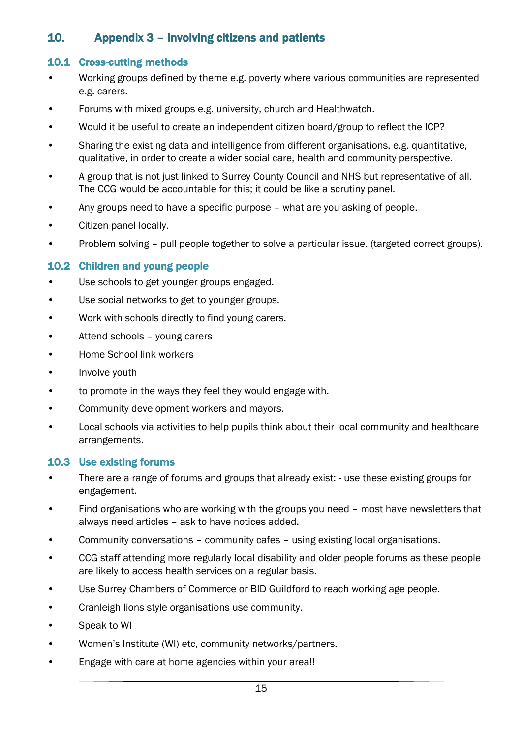## <span id="page-14-0"></span>10. Appendix 3 – Involving citizens and patients

#### 10.1 Cross-cutting methods

- Working groups defined by theme e.g. poverty where various communities are represented e.g. carers.
- Forums with mixed groups e.g. university, church and Healthwatch.
- Would it be useful to create an independent citizen board/group to reflect the ICP?
- Sharing the existing data and intelligence from different organisations, e.g. quantitative, qualitative, in order to create a wider social care, health and community perspective.
- A group that is not just linked to Surrey County Council and NHS but representative of all. The CCG would be accountable for this; it could be like a scrutiny panel.
- Any groups need to have a specific purpose what are you asking of people.
- Citizen panel locally.
- Problem solving pull people together to solve a particular issue. (targeted correct groups).

#### 10.2 Children and young people

- Use schools to get younger groups engaged.
- Use social networks to get to younger groups.
- Work with schools directly to find young carers.
- Attend schools young carers
- Home School link workers
- Involve youth
- to promote in the ways they feel they would engage with.
- Community development workers and mayors.
- Local schools via activities to help pupils think about their local community and healthcare arrangements.

#### 10.3 Use existing forums

- There are a range of forums and groups that already exist: use these existing groups for engagement.
- Find organisations who are working with the groups you need most have newsletters that always need articles – ask to have notices added.
- Community conversations community cafes using existing local organisations.
- CCG staff attending more regularly local disability and older people forums as these people are likely to access health services on a regular basis.
- Use Surrey Chambers of Commerce or BID Guildford to reach working age people.
- Cranleigh lions style organisations use community.
- Speak to WI
- Women's Institute (WI) etc, community networks/partners.
- Engage with care at home agencies within your area!!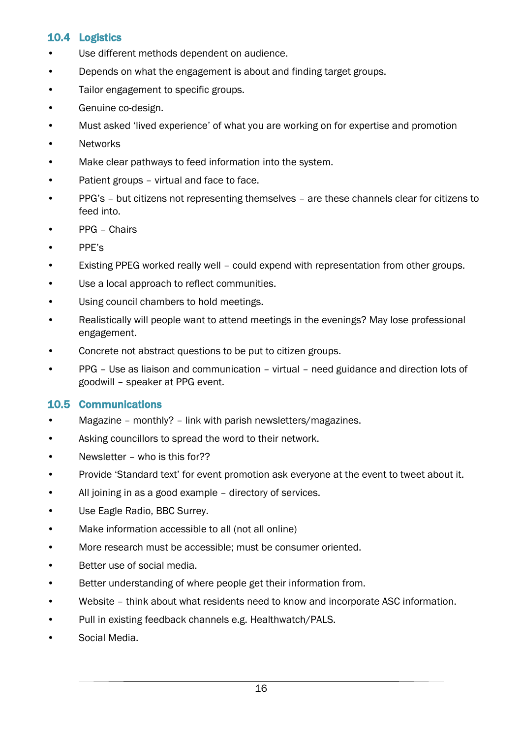#### 10.4 Logistics

- Use different methods dependent on audience.
- Depends on what the engagement is about and finding target groups.
- Tailor engagement to specific groups.
- Genuine co-design.
- Must asked 'lived experience' of what you are working on for expertise and promotion
- Networks
- Make clear pathways to feed information into the system.
- Patient groups virtual and face to face.
- PPG's but citizens not representing themselves are these channels clear for citizens to feed into.
- PPG Chairs
- PPE's
- Existing PPEG worked really well could expend with representation from other groups.
- Use a local approach to reflect communities.
- Using council chambers to hold meetings.
- Realistically will people want to attend meetings in the evenings? May lose professional engagement.
- Concrete not abstract questions to be put to citizen groups.
- PPG Use as liaison and communication virtual need guidance and direction lots of goodwill – speaker at PPG event.

#### 10.5 Communications

- Magazine monthly? link with parish newsletters/magazines.
- Asking councillors to spread the word to their network.
- Newsletter who is this for??
- Provide 'Standard text' for event promotion ask everyone at the event to tweet about it.
- All joining in as a good example directory of services.
- Use Eagle Radio, BBC Surrey.
- Make information accessible to all (not all online)
- More research must be accessible; must be consumer oriented.
- Better use of social media.
- Better understanding of where people get their information from.
- Website think about what residents need to know and incorporate ASC information.
- Pull in existing feedback channels e.g. Healthwatch/PALS.
- Social Media.